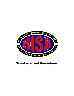

# Standards and Procedures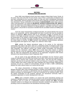

# **SECTION I INTRODUCTION AND HISTORY**

Since 1968, many bilingual schools have been created in Miami-Dade County, Florida. At the outset, there were more than 75 such schools, many of them a continuation of institutions that had been confiscated by the communist regime of Cuba and which reestablished themselves here. Unfortunately, with the passage of time and the lack of adequate succession, these schools have diminished. Having contributed to the founding of **LINCOLN-MARTI,** which today continues under a third generation, we created the **BILINGUAL SCHOOLS ASSOCIATION, INC. (BISA)** to ensure the observance of the highest standards in the operation of bilingual schools and to assist these, and other, educational institutions by offering guidance, supervision and help to improve their programs, and provide an assurance to families that the accredited schools are fulfilling their mission.

Given the unique characteristics of bilingual education, the special attention that must be given to its components, and the understanding and ease of access that must be provided to achieve its objectives, **BISA** presents itself as an organization capable of ensuring that the mission of this highly acclaimed curriculum is followed. Furthermore, **BISA** seeks to encourage the preservation of the student's cultural heritage, thereby enriching their lives by fostering their interest in their own heritage and while promoting the process of assimilation and the values of the United States of America. All **BISA** members have published nondiscriminatory admission and hiring policies with regard to race, religion, sex, national or ethnic origin.

**BISA** upholds the highest educational values in its service to the multi-ethnic communities that reside in this world. There are a substantial number of immigrant youths being educated throughout the world who continue to encounter solid barriers of communication, speak other languages, have different customs and, despite worldly universalities, find themselves isolated from the mainstream culture. **BISA** aims to break down these barriers to facilitate inclusion and this is why the organization was constituted as a Florida non-profit corporation on May 20, 2000 and subsequently was approved as an organization recognized under Section 501(c)(3) of the Internal Revenue Code in September 2000.

We are aware of the great difficulties that the assimilation into the American culture creates for education and of the effort that schools must make. At the same time, parents of these students wish to preserve their customs and cultural values. They feel that their heritage is important, and they do not want their children to lose such treasures. It would be a grave mistake if these children were made to forget their native language and cultural heritage. Bilingualism is necessary not just as a vehicle of communication, but also to foster a better understanding between the many cultures living in our country and the world.

The unique characteristics of bilingual education demand specialized attention. A bilingual education offers many wonderful benefits to students and broadens their horizons. The manner in which this curriculum is administered must be monitored to ensure that appropriate didactic techniques are being applied in a way that is beneficial for the individual student. Given the relative acclamation for this academic approach, the educational community needs a centralized organization to monitor developments in this area.

**BISA's** goal is therefore twofold: 1) to ensure that sound educational practices are employed in bilingual instruction, ensuring that students receive the greatest possible benefit from the program; and 2) to serve as a testamentary resource ensuring that **BISA** accredited institutions adhere to its bilingual and multicultural education standards and guidelines, thereby providing a source of reassurance to the educational community at-large.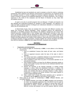Established by-laws and standards are used to evaluate a school for initial or continuing membership. Both subjective and objective measurements of performance are employed during the evaluation process. A school is judged by numerous objective standards. The success a school is having in carrying out its published philosophy is of utmost importance. This is always uppermost in the minds of the evaluators and the Board of Directors as they make their accreditation decision.

Its goal is not only to accredit programs that are bilingual, in English and Spanish, but also bilingual and multicultural programs for speakers of other languages. The objective is to make the highly acclaimed practice of bilingual and multicultural education an inclusionary one rather than an exclusionary one.

In Miami-Dade County, there are students from more than 160 different countries who speak from among 90 different languages. These youngsters deserve the opportunity to participate in accredited programs that embrace the children's background and nurture their cultural awareness, instilling pride in their heritage while helping them acclimate to their new home. By providing students with the opportunity to obtain the benefits of a quality multicultural education program, we will be opening countless doors to them in our multicultural society. South Florida is the ideal setting for the creation of this endeavor, which will serve to improve the quality of bilingual education of future generations, bringing together the schools throughout the world that meet the standards of **BISA** and who adopt its by-laws, standards and procedures.

#### **SECTION 2 STANDARDS FOR MEMBERSHIP**

- I. Organization and Administration
	- a. For a school to apply for membership in **BISA**, it must adhere to the following requirements:
		- i. Have an established Campus that meets all local, state, and federal laws.
		- ii. Have an organized structure under the laws of the state in which it operates.
		- iii. The school must have a published statement of non-discrimination and may not discriminate in its admissions or hiring policies.
		- iv. Have completed at least three (3) years of successful operation as an educational institution.
		- v. Have students enrolled in at least five (5) different elementary grades or groups. Each grade or group must have its own individual classroom and homeroom teacher.
		- vi. Require the teaching of the Spanish language, or another foreign language or culture, within the established curriculum. In addition, the school must encourage the faculty and student body to participate in events and activities that help to stimulate Hispanic or other cultures. Furthermore, a majority of its faculty members must speak Spanish or another foreign language fluently.
		- vii. Make evident that it meets prescribed standards and is operated in accordance with the **BISA** By-Laws and its Code of Ethics.
	- b. There shall be two types of memberships in **BISA**: Affiliated Member, and Accredited Member.
		- i. An Affiliated Member must follow the **BISA** standards and procedures. An initial, non-refundable application fee of \$1,000.00 must be paid by the prospective Affiliated Member, in addition to annual dues which are determined as follows: schools with between 50 and 100 students, \$300.00; schools with between 101 and 200 students, \$600.00; schools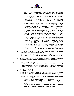

with more than 200 students, \$3/student. Schools that are interested in joining **BISA** as Affiliated Members must complete the membership application and enclose the non-refundable application fee in their submittal to their Board of Directors of **BISA**. The Board of Directors will then evaluate the application and render a decision in a period of no more than sixty (60) business days following receipt of the completed application packet. The decision of the Board of Directors cannot be appealed. The Board of Directors shall also be held harmless for its decision. Affiliated Members will be able to participate in **BISA**sponsored activities that are created for the benefit of the Affiliated Membership. Affiliated Membership will also be provided with appropriate credentials denoting their membership in **BISA**.

- ii. An Accredited Member must follow the **BISA** standards and procedures and submit to periodic compliance evaluations conducted by **BISA**. An initial, non-refundable application fee of \$2,000.00 must be paid by the prospective Accredited Member, in addition to annual dues which are determined as follows: schools with between 50 and 100 students, \$1,000.00; schools with between 101 and 200 students, \$2,000.00; schools with more than 200 students, \$10/student. The initial application procedures for Accredited Member status are identical to the application procedures for Affiliated Members, however Accredited Member candidates must also follow the procedures described herein to obtain accreditation from **BISA**. Upon approval by the **BISA** Board of Directors, and pending accreditation, Accredited Member candidates are entitled to enjoy the rights and privileges associated with Affiliated Membership status. After receiving accredited status, the Accredited Members will be recognized as such and will enjoy the rights and privileges of Accredited Members.
- c. Only schools that are accepted by the **BISA** Board of Directors as Accredited Members may hold Accredited Member status.
- d. Once a school is accredited, it may hold that status for a period of four (4) years, at which time it must once again present itself for a full evaluation, absent superceding circumstances.
- e. All promotional literature shall contain accurate information concerning philosophies, objectives, facilities and the various aspects of the school.
- II. Schools with Multiple Campuses
	- a. Schools that have more than one campus must apply for accreditation for each individual campus. Each campus must follow the same application procedures and adhere to the same standards. Each campus will be responsible for paying separate fees accordingly. Each campus will be either approved or denied membership accordingly.
	- b. If the **BISA** Board of Directors determines that a new school applicant has a name which is considered misleading or similar to the name of an existing member, the Application for Membership may be automatically denied.
	- c. If an existing **BISA** member school opens a new campus, the new school may be accredited under the original criteria utilized to accredit the member school, if the new campus meets the following criteria:
		- i. The new campus must be located within the same county.
		- ii. A Self-Study must be completed with information pertinent to the new campus and all the fees required at the time of the new application must be paid.
		- iii. The new campus must have the same philosophy, mission statement and academic standards as the existing, accredited school.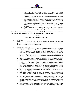

- iv. The new campus must publish the same or similar brochures/advertisements and academic standards as the member school.
- v. The new campus must be owned/administered by the same organization as the member school.
- vi. Upon receipt of the Self-Study for the new campus, and verification of the aforementioned criteria, a Visiting Committee will be appointed to visit the school and verify compliance with BISA standards. The Committee will have a period of three (3) months from the receipt of the Self-Study to visit the new campus and submit a report to the Board of Directors.
- vii. The Board of Directors will evaluate the report of the Committee and will determine if the new campus may be granted immediate accreditation.

Each individual circumstance not specifically addressed in the Standards and Procedures manual shall be resolved by a two-thirds majority vote of the BISA Board of Governance.

## **SECTION 3 GENERAL EVALUATION PROCEDURES**

- I. Procedure Except for the process for obtaining and submitting the original application, the procedures for a school applying for initial accreditation and those member schools applying to renew their accreditation are similar.
- II. New School Applicants
	- a. Once a school feels that it can meet the philosophy and requirements stipulated in Sections I and II above and makes the decision to proceed with the application process, it must make a written request for an Initial Application form. After completing the application packet, the documents must be returned to **BISA**, for review, along with an official check in the amount of \$2,000.00 for the application fee. NOTE: The application fee is non-refundable, and payment of the fee has no bearing on the accreditation decision.
	- b. After the application packet including the application fee is received, a Self-Study form will be mailed to the school so that it can begin the process of accreditation.
	- c. The self-study form must be completed and submitted in a maximum period of six months from the date of mailing of the Self-Study form for review by **BISA**. If the Self-Study is not received within the allotted period, the application will become null-and-void. If a school wishes to resume the accreditation process after the nullification of its application, it must begin the application process anew, including the payment of the then-applicable application fee.
	- d. Each school must spend a minimum of three months, and up to six months preparing its Self-Study.
	- e. After receiving the applicant's Self-Study, a minimum time of six months must pass before the applicant can be scheduled for a site visit by the Evaluation Committee.
	- f. Upon being advised that a new applicant is ready for evaluation, the Executive Officers will designate a date for the visit of the Evaluation Committee to the applicant school. Site visits will take place only during the months of October and November, unless otherwise agreed upon by the majority of the Board of Directors.
	- g. The Self-Study must be completed at least two weeks before the date that the Evaluation Committee is scheduled to visit the applicant school. Copies of the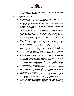

completed Self-Study must be mailed or hand-delivered to each member of the Evaluation Committee at this time.

- III. Accredited Member Schools
	- a. All member schools will be re-evaluated every four years.
	- b. An accredited school must begin working on its Self-Study between six months and one year before the end of the accreditation term.
	- c. The Self-Study must be submitted via e-mail to each member of the Evaluation Committee at least two weeks prior to the scheduled date of the Evaluation Committee's visit.
	- d. The school must print one hard copy and have it available for the Evaluation Committee the day of the visit.
	- e. Within two months after the Evaluation Committee completes the visit to the school applying for re-accreditation, the President will prepare and e-mail a Final Report indicating all commendations, recommendations and/or violations observed. Evaluation Committee members will also receive this report via e-mail. If there are recommendations but no violations, the school will be re-accredited. The school will then have three months to respond, in writing, to all recommendations given. If there are violations, the school shall be placed on probationary status. It will then have six months to satisfy all violations or lose its accreditation.
	- f. It is the responsibility of each member school to notify the President, in writing, once all violations have been corrected. Two members of the Evaluation Committee will then revisit the school to verify compliance. After this visit is completed, the committee members will prepare and submit a Final Report giving the recommendations to the board. The school will then be either granted Provisional Member status for one year, effective as of the date school was formally notified, or be denied accreditation.
	- g. If a member school is denied accreditation, the School Head shall be informed via e-mail. The school must then immediately cease to identify BISA as its accrediting agency.
	- h. With a majority vote the Board of Directors has the right to deny accreditation to any school that does not meet all the published standards or that fails to abide by its code of ethics. The decision of the Board is final, and the Board shall not be held liable for its decision, whether collectively or individually.
	- i. Once an accredited school has been formally denied membership, a period of two full calendar years must elapse before it may reapply. Once it re-applies, the school will be considered a New School Applicant and the latest available published standards will be applicable.
	- j. If the Board of Directors receives an adverse report about an accredited member school, it may require a visit or inspection, or both, to investigate the complaint. After the investigation is completed, the Board of Directors has the right to determine whether accreditation should be revoked. Advance notice for such an inspection shall not be required.
	- k. Schools that do not submit their annual dues or that do not deliver to the Evaluation Committee their Self-Study within the specified time frame, will forfeit their accredited status. Notification of non-accredited status shall be made by Certified Mail directly to the Principal/Owner or Head of School.
	- l. Accredited schools must submit to the President an Annual Report Form together with the annual dues, by October  $31<sup>st</sup>$  of each year, or the school may forfeit its accredited status. The forms will be mailed to all Members in the fall of each year.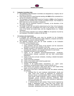

- IV. Evaluation Committee Visits
	- a. The members of the Evaluation Committee are designated by a majority vote of the Board of Directors.
	- b. Only schools that are in good financial standing with **BISA** will be scheduled for a visit by the Evaluation Committee.
	- c. The Evaluation Committee shall include the President of **BISA** or the President's designee and two members from currently accredited schools. The President of BISA shall serve as the committee's chairperson.
	- d. Site visits may be conducted in-person or remotely, at the discretion of the committee's chairperson.
	- e. The length of each site visit shall be determined by the Chair of the Evaluation Committee, taking into consideration the scope of the program, the respective sizes of the faculty and student body, and any mitigating factors (i.e.: multiple campuses).
	- f. The school being evaluated must reimburse **BISA** for all expenses incurred by the Evaluation Committee in relation to the site visit.
- V. On-Campus visit requirements
	- a. A secluded and comfortable room must be provided for the Evaluation Committee's visit. This room shall have a table, telephone, computer and Internet access as well as access to restroom facilities.
	- b. The following materials must also be made available to the Evaluation Committee, in the designated room:
		- i. A map of the school campus.
		- ii. Class schedules with the names of the teachers and the classrooms identified in a manner that correlates to the map.
		- iii. Detailed inventory of all textbooks used by the school in its curricula (including title, publisher, and copyright information for each book).
		- iv. Published curriculum for each grade level.
		- v. Copies of all published brochures/advertisements, handbooks, policy/procedure manuals, yearbooks, and any other school-related publications.
		- vi. Copies of all extra-curricular schedules, including a detailed description of each activity.
		- vii. Copies of all class schedules.
		- viii. Copies of the student roster sorted by grade level.
		- ix. Faculty meeting agendas.
		- x. Samples of all student-related reports/forms (i.e.: report cards, evaluations, accident/incident reports, conduct referrals, etc.).
		- xi. Each teacher must provide a daily lesson plan for each subject being taught, curriculum guidelines and attendance logs.
		- xii. Each school must have a centralized "fire-proof" file cabinet containing the following:
			- 1. Individual files for each employee (administration, faculty and staff). These must contain an application for employment, personal resume, recommendation letters, criminal background check results, health certificates, copies of degrees and college transcripts, annual continuing education certificates, First-Aid/CPR certificates and food service certificate (if applicable), any pertinent awards, etc.
			- 2. ii. Individual files for each student. These must be organized by grade in alphabetical order. These files must contain birth certificates, updated registration forms with disclaimers, past transcripts, standardized test scores, immunization records and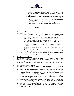health certificates, and all cumulative records available, including copies of progress reports and any pertinent psychological reports.

- 3. All student grades, school records and financial records must be saved in electronic format and a back-up copy must be stored away from the school campus and/or in an external data storage system or cloud.
- 4. All administrative information must be backed up a minimum of once per week and securely stored outside of the school campus such as in an external data storage system or cloud.

# **SECTION 4 GENERAL STANDARDS**

- I. Philosophy and Objectives
	- a. The school must:
		- i. Maintain a published philosophy by which its program is developed and maintained. All members of the school community, including faculty, staff, students, and parents, must be made aware of this philosophy.
		- ii. Publish a list of objectives to summarize its educational program.
		- iii. Hold regular faculty meetings to develop a program that meets its objectives. Each faculty meeting must be documented by the use of a written agenda and recorded minutes.
		- iv. Conduct professional staff evaluations of its progress in attaining its objectives.
		- v. Issue administrative policies and procedures to faculty and staff in a written form.
		- vi. Conduct written observations/evaluations of teachers to ensure that they comply with the prescribed academic program.
		- vii. Maintain documented evidence of professional growth and improvement of staff members through formal and informal programs of study.
- II. Non-Discriminatory Policies

All member schools must publish a written statement indicating they do not discriminate in admission or employment on the basis of race, sex, religion, national or ethnic origin. It must also indicate that it follows the laws of the Americans with Disabilities Act (ADA) and therefore cannot discriminate on the basis of any disability.

# III. School Leadership/Administration

- a. The school's administration shall have the autonomy to meet goals for achievement and instruction and to manage day-to-day operations effectively.
- b. The school must maintain an up-to-date website and it must include nondiscriminatory policies, mission statement, philosophy and objectives, school programs, calendar, extracurricular offerings. The site must provide ample information to the community about the school.
- c. The school's administration shall have a School Improvement Plan (SIP) available. The SIP must include future goals, action plans, resources involved (including personnel), action plans and timelines.
- d. The school's administration shall establish policies and support practices that ensure effective administration of the school. These shall foster a culture consistent with the school's purpose and direction
- e. The school's administration shall actively and consistently support and encourage innovations, collaboration, shared leadership and rigorous professional growth.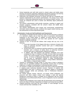

- f. School leadership and staff shall commit to shared values and beliefs about teaching and learning supporting challenging educational programs and learning experience including achievement of learning, thinking and life skills.
- g. Supervision and evaluation processes of faculty and staff are consistently and regularly implemented by the school's administration. The primary focus of this process is improving professional practice and ensuring student success. The results are analyzed and used to monitor and effectively adjust professional practices.
- h. The school's administration shall provide mentoring, coaching to support and induction programs consistent with the school's values and beliefs about teaching and learning.
- i. The school's administration must monitor and communicate comprehensive information about student learning, conditions that support student learning, and the achievement of school improvement goals.
- IV. Administration, Faculty and Staff Qualification and Requirements
	- a. The Director or Principal must be at least 25 years old and must have a minimum of a bachelor's degree and at least five years of successful administrative experience in the United States. In addition, all BISA directors must have completed required coursework and have been granted the DCF required Director's Credential Certificate.
	- b. Teachers of two- to four-year-old children shall comply with any one of the following:
		- i. A two-year Associate of Arts Degree (AA) plus a minimum of twelve (12) hours of continuing education courses each year in childcare/early childhood education.
		- ii. At least three years of continuous teaching experience in early childhood education and a minimum of twelve hours of continuing education courses each year in childcare/early childhood education.
		- iii. In addition, both lead teachers and teacher's assistants must have completed the Dept. of Children & Families' 40-Hour Child Care training course. This course includes: 20 hour "Introductory Child Care Training Course," 10 hours of "Behavioral Observation and Screening Course." and 10 hours of "Specialized Training" in either Developmentally Appropriate Practices for Infant & Toddlers, Young Children, Elementary-Age Children, or Special Needs Children.
	- c. Teachers in Kindergarten through Grade 12 must have at least a bachelor's degree from an accredited institution and preferably several years of teaching experience, in addition to participating in continuing education courses.
	- d. All Teachers in middle and secondary schools must teach in-field and participate in ongoing yearly continuing education courses. Teachers of students with exceptionalities must have a minimum of a bachelor's degree in Exceptional Student Education (ESE) and preferably, have a Professional Educator's Certificate in ESE.
	- e. Per Florida Statutes Section 1002.421, all private school employees and personnel with direct student contact must undergo a state and national background screening by filing a complete set of fingerprints with the Florida Department of Law Enforcement (FDLE). Level II Fingerprints must be submitted electronically.
	- f. Childcare level employees must comply with all requirements and screenings set forth by the State of Florida's Department of Children and Family Services (DCF).
	- g. Cafeteria personnel must pass the Food Handler or Food Manager On-Line Course and have their credentials on file.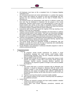

- h. All Employees must have on file a completed Form I-9, Employee Eligibility Verification Form.
- i. All Instructional personnel and school administrators in a position that requires direct contact with students are required to read and acknowledge with their signature the new screening standards, per the State of Florida's Ethics in Education Act.
- j. The teaching faculty and administrative staff shall be of sufficient number that their work may be distributed to implement the full program of the school satisfactorily. Attention shall be given to the appropriateness of class size and teacher-student ratio insofar as they relate to acceptable teaching conditions, method and student loads. Provision should be made for the needs and interests of individual students consistent with the school's philosophy.
- k. Instructional staff members shall spend the majority of the day teaching in the field(s) in which they are credentialed.
- l. Teachers must personalize instructional strategies and interventions to address individual learning needs of each student. They must use instructional strategies that require students to apply knowledge and skills, integrate content with other disciplines and use technologies as instructional resources and learning tools.
- m. Teachers must participate in collaborative learning meetings to share information that can be beneficial to improve instruction and student learning. Agendas and minutes of these meetings should be made available.
- n. The overall faculty should be sufficiently versatile in background, age and aptitudes to provide the school with the type of leadership and understanding needed to evoke the best from all of its students.
- o. Faculty Members must participate in continuous education programs in order to enhance professional learning.
- V. Programs/Curriculum

a. Programs**:**

- i. All programs should provide experiences for growth in social development, language arts, math, science, social studies, health, Spanish/foreign language, music, fine arts. Character education should also be included in the curriculum.
- ii. Although BISA schools are not required to conduct their classes in both Spanish and English, at least 30% of the faculty should speak both languages. Spanish courses, (including literature, grammar and composition), are required for grades K through 8, and must be available thru Grade 12.
- b. Curriculum:
	- i. The school shall have a curriculum consistent with its philosophy and objectives. It should be designed to effectively fulfill the needs of the students enrolled. It must provide equitable and challenging learning experiences that ensure all students have sufficient opportunities to develop learning, thinking, and life skills that lead to success at the next grade level.
	- ii. Teachers must have the school's curriculum readily available.
	- iii. BISA requires evidence of the school's continuing study and updating of the published curriculum.
- c. Lesson Plans:
	- i. Teachers are required to prepare and have readily available a detailed weekly lesson plan for each subject.
	- ii. Lesson plans must include objectives, procedures, materials and evaluation.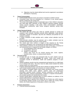- iii. Objectives must be clearly defined and must be organized in accordance with Bloom's Taxonomy.
- VI. Parent Communication
	- a. Communication between home and school is essential to all BISA schools.
	- b. Convenient times must be scheduled for a minimum of two annual parentteacher conferences per school year.
	- c. The school shall engage families in meaningful ways in their children's education and shall keep them informed of their children's learning progress through various sources including a web portal, online communication, newsletters, parent-teacher conferences, open house, progress reporting, among other strategies.
- VII. School Sessions/Calendar
	- a. The school day and school year shall be carefully planned to include the academic class schedule, laboratory periods (when applicable), study periods, assemblies, periods of recreation, nap time (for childcare) and periods for nonacademic activities.
	- b. A written schedule of daily activities and a written school calendar must be provided.
	- c. Extra-curricular activities must be planned, and a written schedule must be provided indicating days and times of each activity.
	- d. The school year must conform in length to that required by the Florida Compulsory Attendance Law, as directed by the State Board of Education.
	- e. There shall be a minimum of 170 actual days for each school year. A minimum of net instructional hours is required for each grade category, as follows:
		- i. Pre-Kindergarten (VPK): 540 hours
		- ii. Kindergarten: 720 hours
		- iii. Grades 1-12: 900 hours

*(These class hours do not include passing time, lunch, naptime, transition times, recess, or extracurricular classes.)*

- VIII. Records/Transfer
	- a. At least one set of records and permanent files for each student must be maintained safely in a **fire-resistant** file cabinet. These must contain the cumulative records of attendance, health and academic progress of each student.
	- b. Student academic records must be computerized and backed up on a daily basis on an external hard drive. This drive must be safely stored outside the school campus and/or on a cloud system.
	- c. Progress Reports/Evaluations must be sent to parents at regular intervals. These must include academic grade and comments on conduct and effort.
	- d. The student's cumulative folders shall contain permanent and current records showing each child's name, address, parent's name and employment information, pertinent phone numbers, persons authorized to pick-up Child, health information, physical examinations, evidence of required immunizations, all cumulative grades and standardized test results.
	- e. Schools should gather continuing data on former students as evidence of the school's effectiveness in reaching its objectives.
	- f. Schools that cease to operate must comply with the Florida Law, which requires its permanent student records to be turned over to either the County School District, the Florida Department of Education or BISA's main office.
- IX. Business And Finance
	- a. Financial Resources/Stability: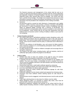

The financial resources and management of the school shall be such as to sustain an approved educational program consistent with the school's philosophy and objectives. Evidence of financial stability in the form of an audited financial statement and/or other relevant data must be available. The school must also have a printed Annual budget. The budget must include fiscal resources to fund all positions necessary to achieve the purpose and direction of the school. These documents must be provided to the Chairperson of the Visiting Committee.

b. Insurance:

All personnel shall be covered by both Workmen's Compensation and Liability Insurance. Liability insurance must provide a minimum coverage of \$3,000,000 per occurrence. In cases of proprietary schools, owners of properties must also obtain an additional liability coverage with a minimum of \$2,000,000. The school's Workmen's Compensation policy should be available to and understood by all employees. Those schools that do not meet this requirement must give evidence from an insurance carrier in writing of inability to obtain or just cause for not complying.

- X. Student Discipline and Morale
	- a. The school shall have a well-defined published student disciplinary policy with clearly defined procedures that are appropriate for each of the age groups or grade levels. This must be clearly written and distributed to students, parents and faculty. There must be evidence that this policy is understood and is effectively in operation.
	- b. There is to be evidence of self-discipline, care, and concern for fellow students. There should be evidence of a non-threatening atmosphere where children are free to grow and develop.
	- c. An effort should be made to build on children's strengths and encourage them to strengthen weaknesses.
	- d. The morale of the total school, including faculty, staff and students, shall be of sufficiently high quality to allow the program to be effective.
- XI. Health & Safety
	- a. Schools must have at least one member of the staff for every 50 students properly trained and prepared to administer First-Aid/CPR at all times.
	- b. A separate First-Aid or Isolation Room must be provided for the isolation of ill children. This room must contain a comfortable cot and a complete First-Aid kit. This kit must be available at all times to all staff members and must be placed out of the reach of children.
	- c. All personnel shall have a valid health certificate signed by a physician.
	- d. In case of contagious disease, the school must comply with existing state law.
	- e. At no time shall children be without adult supervision.
	- f. Driveways should be clearly marked with directional signage for safe dropoff/pick-up of students.
	- g. Pedestrian walkways must be clearly marked and separate from driveway areas.
	- h. Driveways must have sufficient vehicle stacking spaces for safe drop-off of students.
	- i. Dismissal times must be staggered, and dismissal process must be safe and well defined.
	- Traffic signs advising drivers to slow down for children must be visible.
	- k. Where dangerous traffic is in proximity to outdoor play areas, area must be protected with a tall fence with protective stanchions.
	- l. Playground equipment, buildings and grounds of the school shall be free of safety hazards including unfenced or broken equipment in play areas, exposed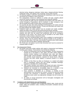

electrical wiring, dangerous stairways, broken glass, dangerous/broken flooring, inadequate ramps, poor lighting, lack of signage, among other hazards.

- m. All cleaning supplies, chemicals, gardening and maintenance tools must be kept and stored out of children's reach at all times.
- n. Fire extinguishers should be sufficient in number and type, properly placed around the school as required, and maintained and inspected regularly.
- o. A log of monthly fire drills must be maintained and posted at the main office. An annual Emergency Preparedness drill for lockdown or other emergency must also be posted and results of these drills must be documented.
- p. An accurate site plan with clearly identified Fire/Emergency exit routes must be placed by each room's primary exit door. Primary and secondary exit routes must be clearly defined with red/blue striping.
- q. Published health and safety policies must be provided and readily available. Health and safety issues must be discussed during all faculty meetings.
- r. Schools must have a published Emergency Procedures Manual and all teachers, students and staff must be trained and familiarized with all the emergency procedures of the school. This manual must be provided to the entire school community in either printed or electronic format.
- s. Schools must have accident/incident report forms available for teachers/staff at all times. These must be properly filled out giving all details of any accident or incident that takes place. One copy must be given to parents when child is picked up, and one copy must be filed in students' personal file.
- t. Per Florida law, all students must be fully immunized and must be screened for Scoliosis while in Grade 7.
- XII. Non-Harassment Policies
	- a. All schools must have written policies with regard to Harassment and Bullying, including cyber-bullying. These policies must include the following:
		- i. All forms of harassment must be strictly prohibited. The term harassment includes but is not limited to, slurs, jokes, and other verbal, graphic or physical conduct relating to an individual's race, color, sex, religion, national origin, sexual orientation, citizenship, age or disability. The term also includes sexual advances, requests for sexual favors, offensive touching, and other verbal, graphic or physical conduct of a sexual nature.
		- ii. Violation of this Policy by either an Employee or a student will subject them to disciplinary actions that may include immediate discharge, expulsion or possibly even criminal charges.
		- iii. Staff, faculty members and students are trained and given information regarding sexual harassment at the beginning of each school year.
		- iv. Students are instructed to immediately report to a member of the school's faculty or administration any incidents of harassment.
		- v. Once someone is identified as a harasser, a member of the administration must document the incident, confront the person(s) being accused and commence a grievance procedure to determine the disciplinary action and/or any appropriate strategies that will remedy the matter.
		- vi. All claims of sexual harassment will be thoroughly investigated and documented accordingly.
- XIII. Compliance with State/Federal Laws and Regulations
	- a. Schools must be in compliance with all applicable federal, state, county and city health, safety and sanitation codes, including immunization schedules and any local regulations.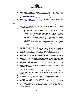

- b. Schools must be subject to regular local Department of Children and Families (DCF), Health Department and fire department inspections. Schools participating in federally funded programs shall also be inspected by each entity to ascertain compliance of their standards.
- c. All licenses must be current and must be clearly displayed at all times.
- d. Schools must comply with all Child Abuse & Neglect Reporting requirements defined in [www.dcf.state.fl.us/abuse/report](http://www.dcf.state.fl.us/abuse/report)
- XIV. Transportation
	- a. Schools that do not own buses but have the need to sub-contract buses or vans must clearly indicate this in all brochures. A disclaimer clause must be included in all field trip permission forms.
	- b. Schools that own buses must abide by the following:
		- i. All drivers must be reliable, careful and properly licensed according to State law.
		- ii. Vehicles must be regularly inspected by qualified personnel and operate in accordance with applicable laws. This inspection report must be posted in a conspicuous place.
		- iii. Adequate insurance must be maintained on all vehicles. The minimum amount of vehicular coverage shall be at least \$2,000,000.00 per occurrence.
		- iv. Schools failing to meet these requirements must provide written evidence from an insurance carrier documenting just cause for not complying.

# XV. Physical Plant; Facilities and Equipment

- a. The plant, equipment and facilities shall be suited to the purpose and adequate for the operation of the total program of the school. They shall be maintained in a manner assuring the health and safety of the students, faculty and staff.
- b. Schools must maintain a proper age-appropriate educational atmosphere.
- c. Schools must maintain a written maintenance schedule.
- d. School facilities must be in compliance with all state and federal environmental laws.
- e. All buildings should be of sound construction, should provide sufficient light and ventilation and should be properly cleaned and maintained. All ramps and steps must be code compliant and cannot pose a tripping hazard.
- f. Air-conditioning and heating units should be adequate and in good working order at all times.
- g. Sufficient sanitary drinking fountains must be provided at convenient locations throughout the campus.
- h. Closets, storage space and shelves should be provided for needed equipment and classroom materials.
- i. Restrooms must have outside ventilation. There should be at least one toilet and one wash basin (sink) for every twenty (20) children, with a minimum of two (2) for each school.
- j. Restrooms must be kept clean and odor-free. Each bathroom must have a mirror, towel and soap dispenser and sufficient waste receptacles with liners.
- k. Restrooms must be designated for different grade divisions or age group; i.e. pre-school, elementary, middle and high school.
- l. Play areas must be properly equipped and maintained. They must be completely fenced in.
- m. Outdoor equipment should be scaled to meet the needs of each age group. They should be sufficient to provide physical activities, social development and imaginative expression.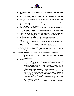

- n. All play areas must have a balance of sun and shade with adequate shade areas.
- o. Outdoor playtime should not interfere with quiet study.
- p. All toys, equipment and furnishings must be age-appropriate, safe and maintained in a sanitary condition.
- q. Fire escapes and stairways must be in good repair and properly lighted and identified.
- r. Any building over one story must be provided with at least two well-lighted separated stairways.
- s. All buildings must be classified as fire-resistant or of construction as approved by the fire codes of the local ordinances.
- t. Food serving and preparation areas must be in compliance with existing local and state health and sanitation codes. All areas must be kept clean and free of infestation. Where applicable, kitchen equipment must be in good condition and suitable for the needs of the school.
- u. Waste receptacles must be adequate and strategically located throughout the school. These must be clean and odor-free. Waste must be removed on a daily basis, or several times a day, as needed.
- v. All roofs and exterior walls may not show evidence of deterioration.
- w. Doors, windows, screens, furniture and equipment must be kept in good state of repair.
- x. Grounds should be equipped with a flagpole in good repair, and the flag(s) should be displayed at all appropriate times.
- y. An American Flag must be displayed within each classroom.
- z. Outdoor play and recreational areas must provide ample space for a variety of activities suitable for each age group.
- aa. Campus safety is paramount. All facilities, equipment and playgrounds must be inspected regularly, and a weekly maintenance log must be kept on file.

#### XVI. Textbooks, Technology, Instructional Aids, Arts and Sciences, and Athletics

- a. Textbooks:
	- i. Student Textbooks must be sufficient in number and age appropriate. Copyright dates must be within seven years. E-Books or books on apps are acceptable.
- b. Technology:
	- i. The technology infrastructure must be modern, fully functional and must support the school's teaching, learning and operational needs of students and teachers.
	- ii. Sufficient number of computers with flat screen monitors must be available for student use inside each classroom and/or in a media center.
	- iii. High speed Internet with access restrictions must be readily available throughout the campus, preferably with Wi-Fi capabilities.
	- iv. Students must use technology, including the Internet, to produce, publish and update individual or shared writing products, taking advantage of technology's capacity to link to other information and to display information flexibly and dynamically.
	- v. Faculty and administration should be encouraged to keep up with the latest technological advancements through continued education course, workshops and/or seminars.
	- vi. The school must have an updated website that contains all pertinent information about the school.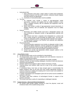- c. Instructional Aids:
	- i. Each classroom must have a large variety of audio-visual equipment, including computers with flat screen monitors, interactive boards, laptops and other devices as appropriate.
	- ii. Inventories of instructional aides must be available.
- d. The Arts:
	- i. Art materials must include a variety of age-appropriate media approaches, materials and supplies that are readily available to every class. A detailed inventory with all materials and equipment must be readily available.
	- ii. Music must include a variety of age-appropriate musical instruments. A detailed inventory with all materials and equipment must be readily available.
- e. Science:
	- i. Elementary and middle schools must have a designated science Lab area containing an adequate number of age-appropriate materials and supplies.
	- ii. High schools must have a separate room designated as a science lab that is ample enough to accommodate the largest class. The lab must contain an adequate number of age-appropriate materials and supplies.
	- iii. A computerized inventory of all Science Lab materials and equipment must be readily available.
- f. Physical Education:
	- i. Physical Education equipment must include an adequate number of ageappropriate athletic equipment, exercise equipment and supplies used to improve coordination and encourage healthy lifestyle and fitness.
	- ii. All equipment must be safe and properly maintained at all times.
	- iii. School must provide age-appropriate athletic program options to the students throughout the year.
- XVII. Library/Media Center
	- a. The library/media center can be centralized or decentralized.
	- b. The library/media center must have adequate print and electronic resources to support the educational program.
	- c. Policies regarding library use must be published and readily available.
	- d. Adequate records are kept including catalogues, inventory of print and electronic resources and acquisitions.
	- e. Students shall be encouraged to utilize E-Books and books on iPads.
	- f. Teaching library and research skills must be a part of the school's published curriculum.
	- g. A centralized library must have at least enough space to accommodate the largest academic class at one time and must contain appropriate furniture. It must be conducive to reading and studying and it must be open and available for maximum use by the students.
	- h. A variety of periodicals and newspapers (print and non-print) must be available to students at all times.
	- i. The library shall show evidence of technological formats in support of the school's curriculum.
	- j. The school must have a policy for responding to challenged materials.

# XVIII. Support Services - Moral and Ethical Development

a. All schools shall provide support services to meet the physical, social and emotional needs of the students being served.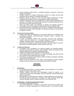

- b. Faculty members shall provide or coordinate programs necessary to meet the needs of all students.
- c. Reliable measures of program effectiveness should be in place and this data should be used to measure or evaluate all programs.
- d. Emphasis should be placed on the moral and ethical development of each individual child. Programs must be implemented to address these areas.
- e. Character Education shall be an integral part of each school's philosophy and program. It is strongly recommended that this type of training embrace service to the school and to the community at large.
- f. Moral and ethical values and teachings of urbanity and etiquette should be incorporated as part of the overall curriculum within each accredited school.
- g. All schools must have a published code of ethics in compliance with State Board of Education Rule 6B-1.006 "Principles of Professional Conduct for the Education Profession in Florida."
- XIX. School and Community Affairs
	- a. Schools shall stress the importance of community relations by establishing and maintaining productive school-community interaction within a positive and democratic framework.
	- b. In order to familiarize students with community resources and awareness, schools shall be involved in a continuous program of planned community activities, charitable events, field trips, public guest speakers, etc.
	- c. Schools are encouraged to communicate with each other with regard to concerns about faculty or student applicants, when deemed necessary.
- XX. Grading and Reporting
	- a. All teachers must consistently use common grading and reporting policies, processes and procedures based on clearly defined criteria that represent each student's attainment of content knowledge and skills.
	- b. Grading and reporting shall be based on clearly defined.
	- c. Criteria that represent the attainment of content knowledge and skills and that are consistent across grade levels and courses.
	- d. The policies, processes and procedures shall be formally and regularly evaluated by the school's administration.
	- e. Parents must be informed of their child's overall progress through progress reports and other various sources including parent teacher meetings.

#### **SECTION 5 PRE-SCHOOL**

- I. Environment
	- a. It is recognized that there is a broad variation in the development of all children between the ages of two and five years.
	- b. Children entering Pre-School and Kindergarten should be placed in an environment that is loving, comfortable, safe and supportive of the developmental needs of each child.
	- c. Although literacy components are required, a strong emphasis must be placed on the process and the experience of learning. The daily schedule should offer extensive flexibility without creating frustration for the individual child.
- II. Assessments Continuous Improvement Process
	- a. Continuous Improvement Process:
		- The school implements a continuous improvement process that provides clear direction for student improvement in all learning areas. The process includes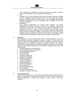

action planning that identifies measurable objectives, strategies, activities, resources and timelines for achieving all improvement goals.

b. VPK:

Students in VPK must be assessed three times during the school year utilizing the VPK Assessment Online Reporting System. The VPK Assessment includes progress monitoring measures in the areas of Print Knowledge, Phonological Awareness, Mathematics, and Oral Language that are aligned with the VPK Education Standards.

c. Kindergarten:

Upon entering Kindergarten, the school should administer the Florida Kindergarten Readiness Screener (FLKRS), the statewide Kindergarten screening used to assess the readiness of each child for kindergarten. This assessment includes a subset of the Early Childhood Observation System (ECHOS) and the first two measures of the Dynamic Indicators of Basic Early Literacy Skills for Kindergarten (DIBELS). Results will serve to determine school readiness. Standard Achievement Test (SAT) Test Series, Tenth Edition, should be administered to kindergarten students prior to the end of the school year.

III. Curriculum

The Curriculum in the pre-school levels must be State approved. It must be developmentally appropriate, designed to prepare a student for early literacy and serve to enhance the age-appropriate progress of students in attaining the stateadopted performance standards. Teachers must prepare students to be ready for kindergarten as determined by the statewide kindergarten screening. The Curriculum must have clearly defined standards for each age level. Standards must address the following areas:

- a. Visual Reception and Comprehension
- b. Auditory Reception and Comprehension
- c. Oral Language Development
- d. Gross Motor Skills
- e. Fine Motor Skills
- f. Linguistic Development
- g. Cognitive Development
- h. Emotional Development
- i. Tactile Development
- j. Physical Development
- k. Social Development<br>I. Mathematics Readin
- Mathematics Readiness
- m. Science Readiness
- n. Social Studies Readiness
- o. Music Objectives
- p. Arts and Crafts Objectives
- q. Integrated Computer Technolog*y*
- IV. Florida Requirements

All pre-school programs are to comply with Florida Statutes 402.305-5057 (App. D), Child Care Standards per Florida Administrative Code, and all rules of the State of Florida's Department of Children and Families, Chapter 10M-12, Child Care Standards.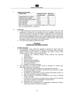# V. Student/Teacher Ratios

| <b>Grade Level</b>           | <b>Maximum Child</b><br>to Staff ratios | <b>Maximum</b><br><b>Group Size</b> |
|------------------------------|-----------------------------------------|-------------------------------------|
| Infants (Birth to 12 months) | 4 to 1                                  | 8                                   |
| Toddlers (13-24 months)      | 4 to 1                                  | 8                                   |
| Two-Year Olds (25-35 months) | 6 to 1                                  | 12                                  |
| Three Year Olds              | 9 to 1                                  | 18                                  |
| <b>Four Year Olds</b>        | 10 to 1                                 | 20                                  |
| Five Year Olds               | 12 to 1                                 | 20                                  |

*When mixed age groups of infants and toddlers are in the same room, the child staff ratio is maintained*

# VI. Admissions

- a. A child entering the five-year-old level should be five years old by the date established by Florida law. Any deviation from this regulation must take into account the emotional, physical and academic development of the child and this must be documented accordingly. If a child is enrolled who does not comply with the entry dates established by state law, a clearly defined written notice will be given to the parents wherein they acknowledge in writing that their child may not be eligible to enter the first grade in any school system.
- b. The school must publish its admissions policy.

# **SECTION 6 ELEMENTARY AND MIDDLE SCHOOL**

# I. Academic Programs

- a. The elementary school should be designed to develop the basic skills and understandings in numerous areas of learning. The school must be actively working toward the goals stated in its objectives and outline of study. Areas usually covered in such a course of study include:
	- i. Language Arts, including reading, writing, listening and speaking mathematics
	- ii. Natural sciences
	- iii. Social sciences
	- iv. Spanish (foreign language)
	- v. Health and physical education
	- vi. Art, music and drama
	- vii. Integrated computer technology
- b. The elementary and middle School should be designed to provide ageappropriate experiences for children in:
	- i. Basic skills and understandings in the Language Arts and math.
	- ii. Essential knowledge in the field of natural and social sciences to include an awareness of other cultures.
	- iii. Recognition and appreciation of moral, spiritual and patriotic values, as part of the teachings of character education.
	- iv. Habits conducive to wholesome development in the areas of physical growth and health.
	- v. A minimum of 150 minutes of physical fitness activity must be provided each week for students in Kindergarten through Grade 8.
	- vi. Appreciation for fine arts and music.
	- vii. Teachings and encouragement of responsibility, independent thinking, proper study skills and research techniques.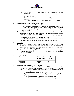

- viii. Constructive attitude toward obligations and willingness to accept responsibility.
- ix. Demonstrate evidence of recognition of student's individual differences and learning styles.
- x. Evidence of opportunity for leadership, responsibility, self-expression and creativity.
- xi. Guidance and counseling should be an integral part of the program.
- II. Assessments Continuous Improvement Process
	- a. Continuous Improvement Process. The school implements a continuous improvement process that provides clear direction for student improvement in all learning areas. The process includes action planning that identifies measurable objectives, strategies, activities, resources and timelines for achieving all improvement goals.
	- b. Curriculum, instruction and assessment are monitored and adjusted systematically in response to data from multiple assessments of student learning and an examination of professional practice.
	- c. Schools are required to administer the Stanford Achievement Test, Tenth Edition (SAT) to all K-8 students during the spring of each year.
	- d. Individual result norms and medians or other meaningful interpretations must be given to each parent and must be filed in each student's individual file.
- III. Curriculum
	- a. The curriculum must be state approved. Curriculum guidelines, standards and benchmarks for each grade level must be readily available to Teachers either on hard copy or on digital format within each classroom. Teachers must apply these standards to their respective curricula.
	- b. The standards are designed to be relevant to the real world, reflecting the knowledge and skills that our young people need for success in High School and in their future careers.
- IV. Student/Teacher Ratios

| <b>Grade Level</b> | <b>Maximum Child</b><br>to Staff ratios | Maximum<br><b>Group Size</b> |
|--------------------|-----------------------------------------|------------------------------|
| Grades 1 to 5      | 18 to 1                                 | 18                           |
| Grades 6 to 8      | 18 to 1                                 | 18                           |

# V. E-Learning and Distance Education Programs

- a. To ensure both quality and independence, BISA schools incorporating asynchronous and synchronous learning opportunities (*enabled by the internet, audio, video, or other means)* must demonstrate compliance with all BISA standards. E-learning offerings must be either:
	- i. Developed and controlled by the BISA school and/or
	- ii. Supplemental programs (those not developed and controlled by the BISA school), must:
		- a. Be accredited by a regional accrediting agency and
		- b. Must not exceed 25% of a student's course of study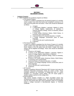

# **SECTION 7 SECONDARY SCHOOL**

- I. Academic Programs
	- a. BISA recognizes two academic programs as follows:

a.The General Program:

In order for a student to graduate from the general program of a member school, student must show that he/she has completed a minimum of 24 units at the 9th grade level and above. These units should be distributed as follows:

- a. 4 English
- b. 4 mathematics (Algebra I, geometry, Algebra II, choice of College Algebra, trigonometry, or statistics) 3 sciences (physical, biology, choice of chemistry, physics or astronomy)
- c. 3 social studies (American History, World History, ½ economics and ½ government)
- d. 2 personal fitness (1½ physical education, ½ health)
- e. 2 foreign languages (consecutive years in same language)
- f. 1 art  $\frac{1}{2}$  fine arts and  $\frac{1}{2}$  performing arts)
- g. 5 electives
- b.The Honors Program:

In order for a student to graduate from the Honors Program of a member school, student must show that he/she has completed a *minimum* of 24 Honor classes at the 9th grade level and above. Grades from these classes will be weighted accordingly. These units should be distributed as follows:

- a. 4 honors or AP English
- b. 4 honors or AP mathematics (Algebra I, geometry, Algebra II, choice of College Algebra, trigonometry or statistics)
- c. 3 honors or AP sciences (physical, biology, choice of chemistry, physics or astronomy)
- d. 3 honors or AP social studies (American History, World History,  $\frac{1}{2}$  economics and  $\frac{1}{2}$  government)
- e. 2 personal fitness (1½ physical education, ½ health)
- f. 2 honors or AP foreign language courses (consecutive years in same language)
- g. 1 art ( $\frac{1}{2}$  fine arts and  $\frac{1}{2}$  performing arts)
- h. 5 Electives
- c.AP Courses:

Students completing Advanced Placement (AP) Courses must pass the Advanced Placement Examination during the month of May. These examples represent the culmination of college-level work in a given discipline in a secondary school setting. The AP exams gauge a student's ability to perform at the college level.

d.Dual Enrollment:

High School students enrolled at a BISA Accredited school may simultaneously enroll in a college course. The credits that students earn may be used toward their high school graduation and/or be acceptable toward a college Associate or Baccalaureate degree, or Technical Certificate.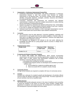

- II. Assessments Continuous Improvement Process/Plan
	- a. Continuous Improvement Process/Plan. The school implements a continuous improvement process or plan that provides clear direction for student improvement in all learning areas. The process includes action planning that identifies measurable objectives, strategies, activities, resources and timelines for achieving all improvement goals.
	- b. Curriculum, instruction and assessment are monitored and adjusted systematically in response to data from multiple assessments of student learning and an examination of professional practice.
	- c. Schools are required to administer the Stanford Achievement Test, Tenth Edition (SAT) to all 9<sup>th</sup> thru 11<sup>th</sup> grade students during the spring of each year. Students in 10<sup>th</sup> and 11<sup>th</sup> grades are required to also take the PSAT.
	- d. Individual result norms and medians or other meaningful interpretations must be given to each parent and must be filed in each student's individual file.
- III. Curriculum
	- a. The Curriculum must be state approved. Curriculum guidelines, standards and benchmarks for each grade level must be readily available to Teachers either on hard copy or on digital format within each classroom. Teachers must apply these standards to their respective curricula.
	- b. The standards are designed to be relevant to the real world, reflecting the knowledge and skills that our young people need for success in college and in their future careers.

#### IV. Student/Teacher Ratios

| <b>Grade Level</b> | <b>Maximum Child</b><br>to Staff ratios | Maximum<br><b>Group Size</b> |
|--------------------|-----------------------------------------|------------------------------|
| Grades 9 to 12     | $22$ to 1                               | ററ                           |

- V. E-Learning and Distance Education Programs
	- a. To ensure both quality and independence, BISA schools incorporating asynchronous and synchronous learning opportunities (*enabled by the internet, audio, video, or other means)* must demonstrate compliance with all BISA standards. E-learning offerings must be either:
		- a.Developed and controlled by the BISA school and/or
		- b.Supplemental programs (those not developed and controlled by the BISA school), must:
			- a. Be accredited by a regional accrediting agency and
			- b. Must not exceed 25% of a student's course of study

# VI. Community Service

All High School students are required to complete 100 hours of community service.

VII. Activities

Activities are a vital part of a student's growth and development. All activities offered must be under the ultimate supervision of the School Head. The direct supervision of all such activities must be by a qualified adult.

#### VIII. Student Services

The school must provide adequate services in the areas of guidance and counseling to assist the students in the choice of Curriculum, future vocation, College plans, adjustment to academic and social pressures, the development of self-esteem, and the development of personal integrity and moral values.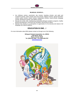

# **BILINGUAL SCHOOLS…**

- Are childcare centers, preschools, day schools, boarding schools, and adult and vocational schools; urban schools and rural schools; religious schools, special education centers, public schools, charter schools, independent schools, virtual schools, language schools, Montessori schools, and military schools.
- Educate the whole child, emphasizing outstanding bilingual academic programs, healthy physical development, moral and civic formation, and service to others.
- Maintain their identity in an atmosphere of appreciation for the diversity and values of all language and cultural traditions.

# **EDUCATION IS ONE…!**

For more information about BISA please contact us through one of the following:

**Bilingual Schools Association, Inc. (BISA) 2700 SW 8th Street Miami, Florida 33135 Tel. (305) 642-1000 – Fax (305) 649-2767 [www.bisausa.org](http://www.bisausa.org/)**